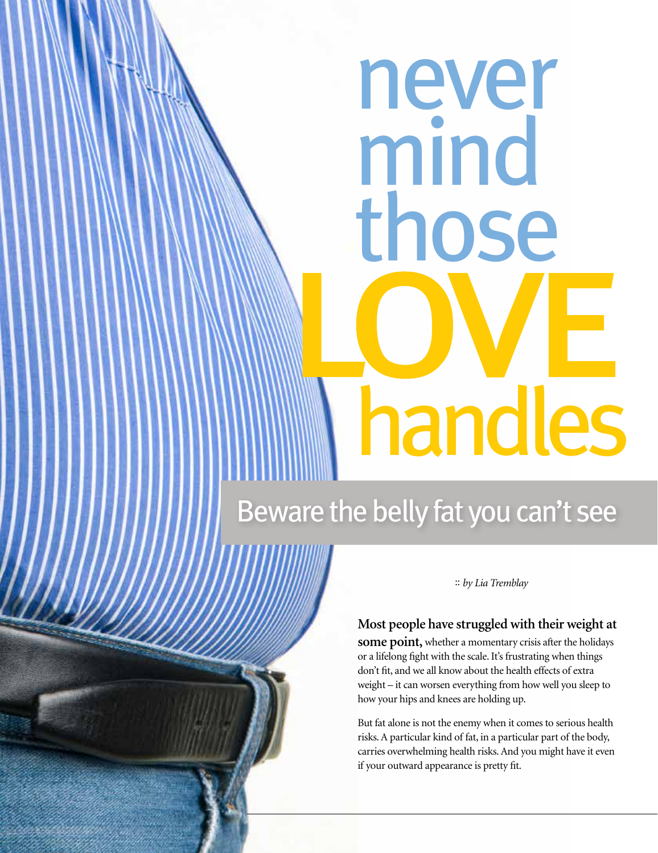# never mind those handles

# Beware the belly fat you can't see

4 <u>making rounds : winter 2019</u>

:: *by Lia Tremblay*

# **Most people have struggled with their weight at**

**some point,** whether a momentary crisis after the holidays or a lifelong fight with the scale. It's frustrating when things don't fit, and we all know about the health effects of extra weight – it can worsen everything from how well you sleep to how your hips and knees are holding up.

But fat alone is not the enemy when it comes to serious health risks. A particular kind of fat, in a particular part of the body, carries overwhelming health risks. And you might have it even if your outward appearance is pretty fit.